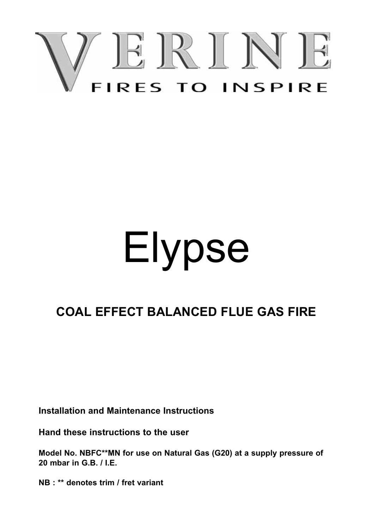

# Elypse

# **COAL EFFECT BALANCED FLUE GAS FIRE**

**Installation and Maintenance Instructions**

**Hand these instructions to the user**

**Model No. NBFC\*\*MN for use on Natural Gas (G20) at a supply pressure of 20 mbar in G.B. / I.E.**

**NB : \*\* denotes trim / fret variant**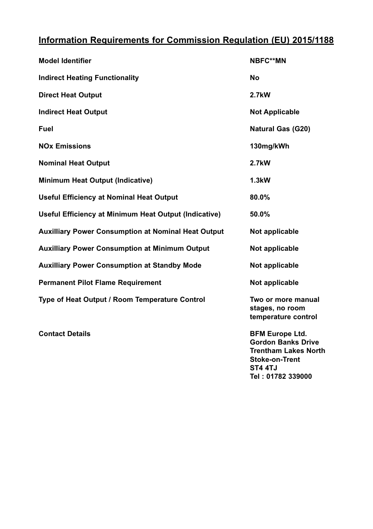# **Information Requirements for Commission Regulation (EU) 2015/1188**

| <b>Model Identifier</b>                                    | <b>NBFC**MN</b>                                              |
|------------------------------------------------------------|--------------------------------------------------------------|
| <b>Indirect Heating Functionality</b>                      | No                                                           |
| <b>Direct Heat Output</b>                                  | 2.7kW                                                        |
| <b>Indirect Heat Output</b>                                | <b>Not Applicable</b>                                        |
| Fuel                                                       | <b>Natural Gas (G20)</b>                                     |
| <b>NO<sub>x</sub></b> Emissions                            | 130mg/kWh                                                    |
| <b>Nominal Heat Output</b>                                 | 2.7kW                                                        |
| <b>Minimum Heat Output (Indicative)</b>                    | 1.3kW                                                        |
| <b>Useful Efficiency at Nominal Heat Output</b>            | 80.0%                                                        |
| Useful Efficiency at Minimum Heat Output (Indicative)      | 50.0%                                                        |
| <b>Auxilliary Power Consumption at Nominal Heat Output</b> | Not applicable                                               |
| <b>Auxilliary Power Consumption at Minimum Output</b>      | Not applicable                                               |
| <b>Auxilliary Power Consumption at Standby Mode</b>        | Not applicable                                               |
| <b>Permanent Pilot Flame Requirement</b>                   | Not applicable                                               |
| Type of Heat Output / Room Temperature Control             | Two or more manual<br>stages, no room<br>temperature control |

**Contact Details BFM Europe Ltd. Gordon Banks Drive Trentham Lakes North Stoke-on-Trent ST4 4TJ Tel : 01782 339000**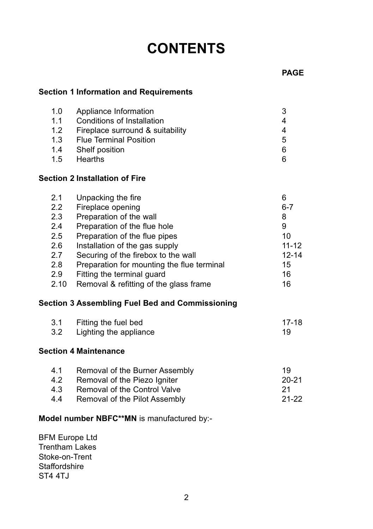# **CONTENTS**

#### **Section 1 Information and Requirements**

| 1.0 | Appliance Information            |   |
|-----|----------------------------------|---|
| 1.1 | Conditions of Installation       |   |
| 1.2 | Fireplace surround & suitability |   |
| 1.3 | <b>Flue Terminal Position</b>    | 5 |
| 1.4 | Shelf position                   | 6 |
| 1.5 | Hearths                          |   |

#### **Section 2 Installation of Fire**

| 2.1           | Unpacking the fire                         | 6         |
|---------------|--------------------------------------------|-----------|
| $2.2^{\circ}$ | Fireplace opening                          | $6 - 7$   |
| 2.3           | Preparation of the wall                    | 8         |
| 2.4           | Preparation of the flue hole               | 9         |
| 2.5           | Preparation of the flue pipes              | 10        |
| 2.6           | Installation of the gas supply             | $11 - 12$ |
| 2.7           | Securing of the firebox to the wall        | $12 - 14$ |
| 2.8           | Preparation for mounting the flue terminal | 15        |
| 2.9           | Fitting the terminal quard                 | 16        |
| 2.10          | Removal & refitting of the glass frame     | 16        |

## **Section 3 Assembling Fuel Bed and Commissioning**

| 3.1   | Fitting the fuel bed   | 17-18 |
|-------|------------------------|-------|
| - 3.2 | Lighting the appliance |       |

#### **Section 4 Maintenance**

| 4.1 | Removal of the Burner Assembly | 19    |
|-----|--------------------------------|-------|
| 4.2 | Removal of the Piezo Igniter   | 20-21 |
| 4.3 | Removal of the Control Valve   | -21   |
| 4.4 | Removal of the Pilot Assembly  | 21-22 |

#### **Model number NBFC\*\*MN** is manufactured by:-

BFM Europe Ltd Trentham Lakes Stoke-on-Trent **Staffordshire** ST4 4TJ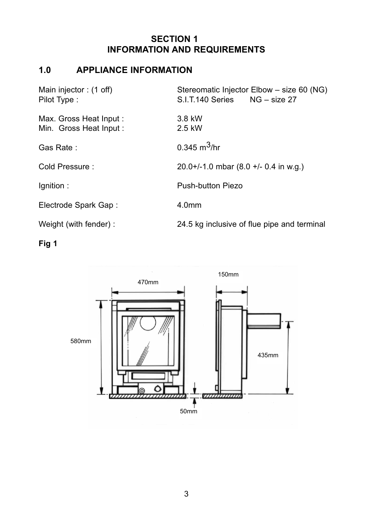# **SECTION 1 INFORMATION AND REQUIREMENTS**

# **1.0 APPLIANCE INFORMATION**

| Main injector: (1 off)<br>Pilot Type:            | Stereomatic Injector Elbow - size 60 (NG)<br>NG – size 27<br>S.I.T.140 Series |
|--------------------------------------------------|-------------------------------------------------------------------------------|
| Max. Gross Heat Input:<br>Min. Gross Heat Input: | 3.8 kW<br>2.5 kW                                                              |
| Gas Rate:                                        | $0.345 \text{ m}^3$ /hr                                                       |
| Cold Pressure:                                   | $20.0+/-1.0$ mbar $(8.0 +/- 0.4$ in w.g.)                                     |
| lgnition:                                        | Push-button Piezo                                                             |
| Electrode Spark Gap:                             | 4.0 <sub>mm</sub>                                                             |
| Weight (with fender):                            | 24.5 kg inclusive of flue pipe and terminal                                   |

**Fig 1**

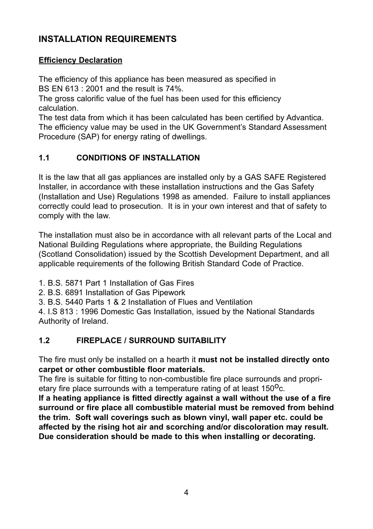# **INSTALLATION REQUIREMENTS**

#### **Efficiency Declaration**

The efficiency of this appliance has been measured as specified in BS EN 613 : 2001 and the result is 74%.

The gross calorific value of the fuel has been used for this efficiency calculation.

The test data from which it has been calculated has been certified by Advantica. The efficiency value may be used in the UK Government's Standard Assessment Procedure (SAP) for energy rating of dwellings.

#### **1.1 CONDITIONS OF INSTALLATION**

It is the law that all gas appliances are installed only by a GAS SAFE Registered Installer, in accordance with these installation instructions and the Gas Safety (Installation and Use) Regulations 1998 as amended. Failure to install appliances correctly could lead to prosecution. It is in your own interest and that of safety to comply with the law.

The installation must also be in accordance with all relevant parts of the Local and National Building Regulations where appropriate, the Building Regulations (Scotland Consolidation) issued by the Scottish Development Department, and all applicable requirements of the following British Standard Code of Practice.

1. B.S. 5871 Part 1 Installation of Gas Fires

2. B.S. 6891 Installation of Gas Pipework

3. B.S. 5440 Parts 1 & 2 Installation of Flues and Ventilation

4. I.S 813 : 1996 Domestic Gas Installation, issued by the National Standards Authority of Ireland.

#### **1.2 FIREPLACE / SURROUND SUITABILITY**

The fire must only be installed on a hearth it **must not be installed directly onto carpet or other combustible floor materials.**

The fire is suitable for fitting to non-combustible fire place surrounds and proprietary fire place surrounds with a temperature rating of at least  $150^{\circ}$ c.

**If a heating appliance is fitted directly against a wall without the use of a fire surround or fire place all combustible material must be removed from behind the trim. Soft wall coverings such as blown vinyl, wall paper etc. could be affected by the rising hot air and scorching and/or discoloration may result. Due consideration should be made to this when installing or decorating.**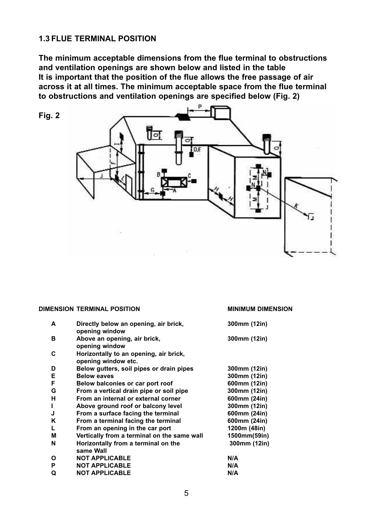#### **1.3 FLUE TERMINAL POSITION**

**The minimum acceptable dimensions from the flue terminal to obstructions and ventilation openings are shown below and listed in the table It is important that the position of the flue allows the free passage of air across it at all times. The minimum acceptable space from the flue terminal to obstructions and ventilation openings are specified below (Fig. 2)**



**DIMENSION TERMINAL POSITION MINIMUM DIMENSION**

| DIMENSION TERMINAL POSITION |  |  |
|-----------------------------|--|--|
|-----------------------------|--|--|

| А | Directly below an opening, air brick,<br>opening window       | 300mm (12in) |
|---|---------------------------------------------------------------|--------------|
| в | Above an opening, air brick,<br>opening window                | 300mm (12in) |
| C | Horizontally to an opening, air brick,<br>opening window etc. |              |
| D | Below gutters, soil pipes or drain pipes                      | 300mm (12in) |
| Е | <b>Below eaves</b>                                            | 300mm (12in) |
| F | Below balconies or car port roof                              | 600mm (12in) |
| G | From a vertical drain pipe or soil pipe                       | 300mm (12in) |
| н | From an internal or external corner                           | 600mm (24in) |
| п | Above ground roof or balcony level                            | 300mm (12in) |
| J | From a surface facing the terminal                            | 600mm (24in) |
| ĸ | From a terminal facing the terminal                           | 600mm (24in) |
| L | From an opening in the car port                               | 1200m (48in) |
| M | Vertically from a terminal on the same wall                   | 1500mm(59in) |
| N | Horizontally from a terminal on the<br>same Wall              | 300mm (12in) |
| O | <b>NOT APPLICABLE</b>                                         | N/A          |
| P | <b>NOT APPLICABLE</b>                                         | N/A          |
| Q | <b>NOT APPLICABLE</b>                                         | N/A          |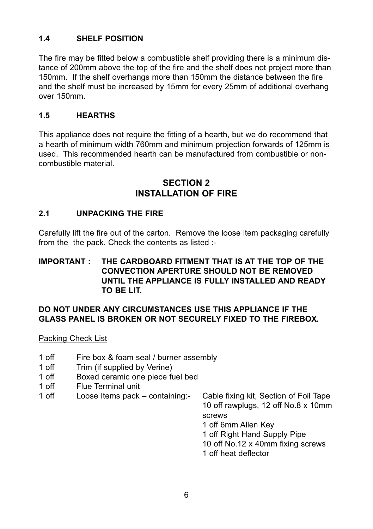#### **1.4 SHELF POSITION**

The fire may be fitted below a combustible shelf providing there is a minimum distance of 200mm above the top of the fire and the shelf does not project more than 150mm. If the shelf overhangs more than 150mm the distance between the fire and the shelf must be increased by 15mm for every 25mm of additional overhang over 150mm.

#### **1.5 HEARTHS**

This appliance does not require the fitting of a hearth, but we do recommend that a hearth of minimum width 760mm and minimum projection forwards of 125mm is used. This recommended hearth can be manufactured from combustible or noncombustible material.

#### **SECTION 2 INSTALLATION OF FIRE**

#### **2.1 UNPACKING THE FIRE**

Carefully lift the fire out of the carton. Remove the loose item packaging carefully from the the pack. Check the contents as listed :-

#### **IMPORTANT : THE CARDBOARD FITMENT THAT IS AT THE TOP OF THE CONVECTION APERTURE SHOULD NOT BE REMOVED UNTIL THE APPLIANCE IS FULLY INSTALLED AND READY TO BE LIT.**

#### **DO NOT UNDER ANY CIRCUMSTANCES USE THIS APPLIANCE IF THE GLASS PANEL IS BROKEN OR NOT SECURELY FIXED TO THE FIREBOX.**

Packing Check List

- 1 off Fire box & foam seal / burner assembly<br>1 off Trim (if supplied by Verine)
- Trim (if supplied by Verine)
- 1 off Boxed ceramic one piece fuel bed
- 
- 1 off Flue Terminal unit<br>1 off Loose Items pack containing:-

Cable fixing kit, Section of Foil Tape 10 off rawplugs, 12 off No.8 x 10mm screws

1 off 6mm Allen Key

1 off Right Hand Supply Pipe

10 off No.12 x 40mm fixing screws

1 off heat deflector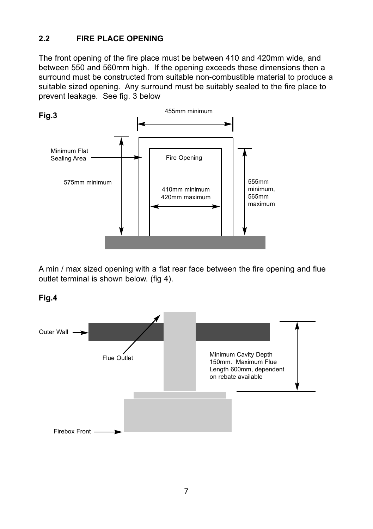#### **2.2 FIRE PLACE OPENING**

The front opening of the fire place must be between 410 and 420mm wide, and between 550 and 560mm high. If the opening exceeds these dimensions then a surround must be constructed from suitable non-combustible material to produce a suitable sized opening. Any surround must be suitably sealed to the fire place to prevent leakage. See fig. 3 below



A min / max sized opening with a flat rear face between the fire opening and flue outlet terminal is shown below. (fig 4).



**Fig.4**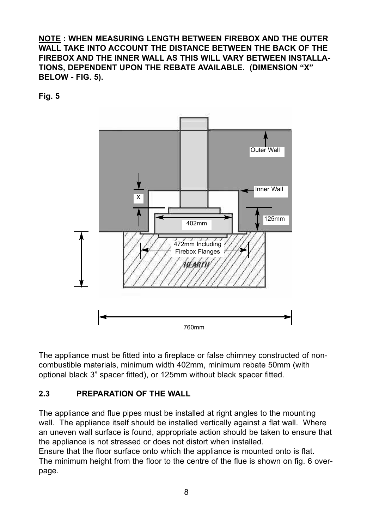**NOTE : WHEN MEASURING LENGTH BETWEEN FIREBOX AND THE OUTER WALL TAKE INTO ACCOUNT THE DISTANCE BETWEEN THE BACK OF THE FIREBOX AND THE INNER WALL AS THIS WILL VARY BETWEEN INSTALLA-TIONS, DEPENDENT UPON THE REBATE AVAILABLE. (DIMENSION "X" BELOW - FIG. 5).**

**Fig. 5**



The appliance must be fitted into a fireplace or false chimney constructed of noncombustible materials, minimum width 402mm, minimum rebate 50mm (with optional black 3" spacer fitted), or 125mm without black spacer fitted.

## **2.3 PREPARATION OF THE WALL**

The appliance and flue pipes must be installed at right angles to the mounting wall. The appliance itself should be installed vertically against a flat wall. Where an uneven wall surface is found, appropriate action should be taken to ensure that the appliance is not stressed or does not distort when installed.

Ensure that the floor surface onto which the appliance is mounted onto is flat. The minimum height from the floor to the centre of the flue is shown on fig. 6 overpage.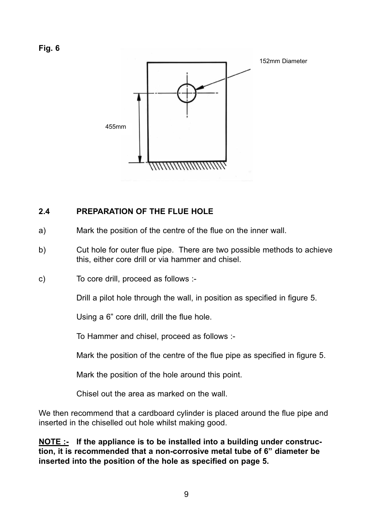

#### **2.4 PREPARATION OF THE FLUE HOLE**

- a) Mark the position of the centre of the flue on the inner wall.
- b) Cut hole for outer flue pipe. There are two possible methods to achieve this, either core drill or via hammer and chisel.
- c) To core drill, proceed as follows :-

Drill a pilot hole through the wall, in position as specified in figure 5.

Using a 6" core drill, drill the flue hole.

To Hammer and chisel, proceed as follows :-

Mark the position of the centre of the flue pipe as specified in figure 5.

Mark the position of the hole around this point.

Chisel out the area as marked on the wall.

We then recommend that a cardboard cylinder is placed around the flue pipe and inserted in the chiselled out hole whilst making good.

**NOTE :- If the appliance is to be installed into a building under construction, it is recommended that a non-corrosive metal tube of 6" diameter be inserted into the position of the hole as specified on page 5.**

9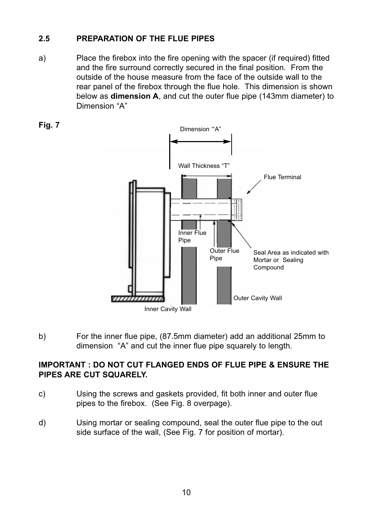#### **2.5 PREPARATION OF THE FLUE PIPES**

a) Place the firebox into the fire opening with the spacer (if required) fitted and the fire surround correctly secured in the final position. From the outside of the house measure from the face of the outside wall to the rear panel of the firebox through the flue hole. This dimension is shown below as **dimension A**, and cut the outer flue pipe (143mm diameter) to Dimension "A"



b) For the inner flue pipe, (87.5mm diameter) add an additional 25mm to dimension "A" and cut the inner flue pipe squarely to length.

#### **IMPORTANT : DO NOT CUT FLANGED ENDS OF FLUE PIPE & ENSURE THE PIPES ARE CUT SQUARELY.**

- c) Using the screws and gaskets provided, fit both inner and outer flue pipes to the firebox. (See Fig. 8 overpage).
- d) Using mortar or sealing compound, seal the outer flue pipe to the out side surface of the wall, (See Fig. 7 for position of mortar).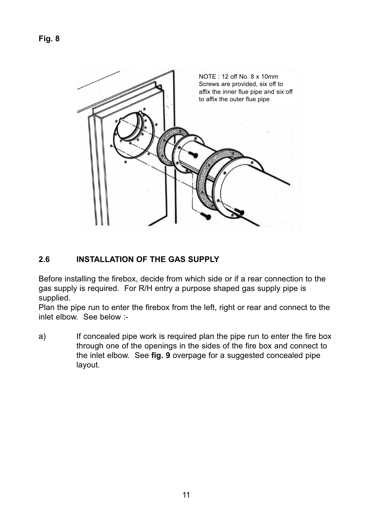

#### **2.6 INSTALLATION OF THE GAS SUPPLY**

Before installing the firebox, decide from which side or if a rear connection to the gas supply is required. For R/H entry a purpose shaped gas supply pipe is supplied.

Plan the pipe run to enter the firebox from the left, right or rear and connect to the inlet elbow. See below :-

a) If concealed pipe work is required plan the pipe run to enter the fire box through one of the openings in the sides of the fire box and connect to the inlet elbow. See **fig. 9** overpage for a suggested concealed pipe layout.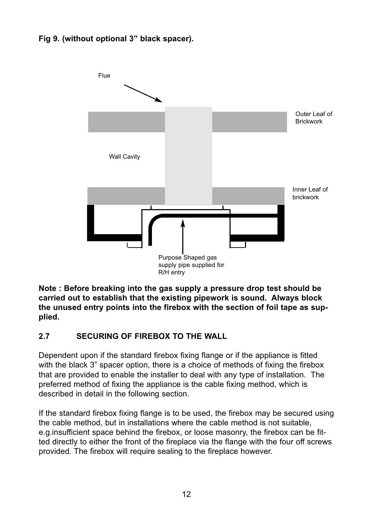#### **Fig 9. (without optional 3" black spacer).**



**Note : Before breaking into the gas supply a pressure drop test should be carried out to establish that the existing pipework is sound. Always block the unused entry points into the firebox with the section of foil tape as supplied.**

#### **2.7 SECURING OF FIREBOX TO THE WALL**

Dependent upon if the standard firebox fixing flange or if the appliance is fitted with the black 3" spacer option, there is a choice of methods of fixing the firebox that are provided to enable the installer to deal with any type of installation. The preferred method of fixing the appliance is the cable fixing method, which is described in detail in the following section.

If the standard firebox fixing flange is to be used, the firebox may be secured using the cable method, but in installations where the cable method is not suitable, e.g.insufficient space behind the firebox, or loose masonry, the firebox can be fitted directly to either the front of the fireplace via the flange with the four off screws provided. The firebox will require sealing to the fireplace however.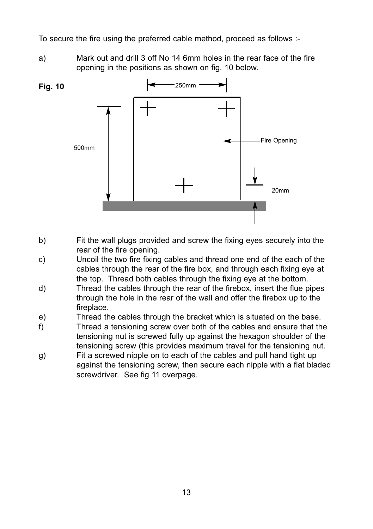To secure the fire using the preferred cable method, proceed as follows :-

a) Mark out and drill 3 off No 14 6mm holes in the rear face of the fire opening in the positions as shown on fig. 10 below.



- b) Fit the wall plugs provided and screw the fixing eyes securely into the rear of the fire opening.
- c) Uncoil the two fire fixing cables and thread one end of the each of the cables through the rear of the fire box, and through each fixing eye at the top. Thread both cables through the fixing eye at the bottom.
- d) Thread the cables through the rear of the firebox, insert the flue pipes through the hole in the rear of the wall and offer the firebox up to the fireplace.
- e) Thread the cables through the bracket which is situated on the base.
- f) Thread a tensioning screw over both of the cables and ensure that the tensioning nut is screwed fully up against the hexagon shoulder of the tensioning screw (this provides maximum travel for the tensioning nut.
- g) Fit a screwed nipple on to each of the cables and pull hand tight up against the tensioning screw, then secure each nipple with a flat bladed screwdriver. See fig 11 overpage.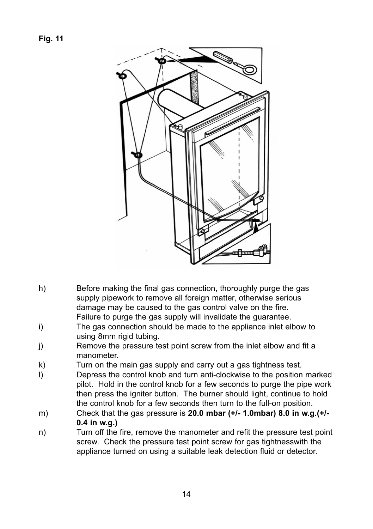

- h) Before making the final gas connection, thoroughly purge the gas supply pipework to remove all foreign matter, otherwise serious damage may be caused to the gas control valve on the fire. Failure to purge the gas supply will invalidate the guarantee.
- i) The gas connection should be made to the appliance inlet elbow to using 8mm rigid tubing.
- j) Remove the pressure test point screw from the inlet elbow and fit a manometer.
- k) Turn on the main gas supply and carry out a gas tightness test.
- l) Depress the control knob and turn anti-clockwise to the position marked pilot. Hold in the control knob for a few seconds to purge the pipe work then press the igniter button. The burner should light, continue to hold the control knob for a few seconds then turn to the full-on position.
- m) Check that the gas pressure is **20.0 mbar (+/- 1.0mbar) 8.0 in w.g.(+/- 0.4 in w.g.)**
- n) Turn off the fire, remove the manometer and refit the pressure test point screw. Check the pressure test point screw for gas tightnesswith the appliance turned on using a suitable leak detection fluid or detector.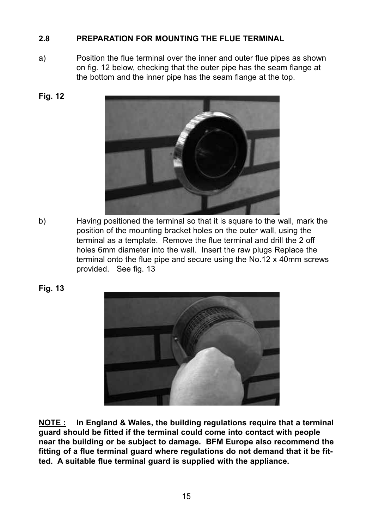#### **2.8 PREPARATION FOR MOUNTING THE FLUE TERMINAL**

a) Position the flue terminal over the inner and outer flue pipes as shown on fig. 12 below, checking that the outer pipe has the seam flange at the bottom and the inner pipe has the seam flange at the top.





b) Having positioned the terminal so that it is square to the wall, mark the position of the mounting bracket holes on the outer wall, using the terminal as a template. Remove the flue terminal and drill the 2 off holes 6mm diameter into the wall. Insert the raw plugs Replace the terminal onto the flue pipe and secure using the No.12 x 40mm screws provided. See fig. 13

**Fig. 13**



**NOTE : In England & Wales, the building regulations require that a terminal guard should be fitted if the terminal could come into contact with people near the building or be subject to damage. BFM Europe also recommend the fitting of a flue terminal guard where regulations do not demand that it be fitted. A suitable flue terminal guard is supplied with the appliance.**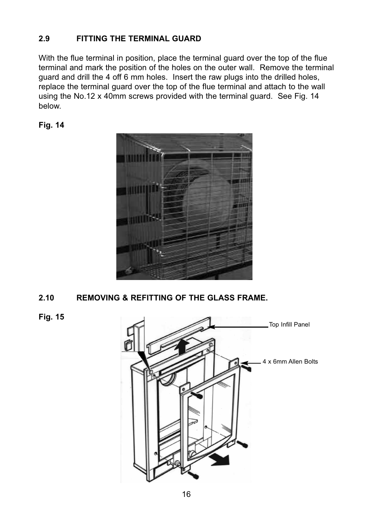#### **2.9 FITTING THE TERMINAL GUARD**

With the flue terminal in position, place the terminal guard over the top of the flue terminal and mark the position of the holes on the outer wall. Remove the terminal guard and drill the 4 off 6 mm holes. Insert the raw plugs into the drilled holes, replace the terminal guard over the top of the flue terminal and attach to the wall using the No.12 x 40mm screws provided with the terminal guard. See Fig. 14 below.





**2.10 REMOVING & REFITTING OF THE GLASS FRAME.**

**Fig. 15**

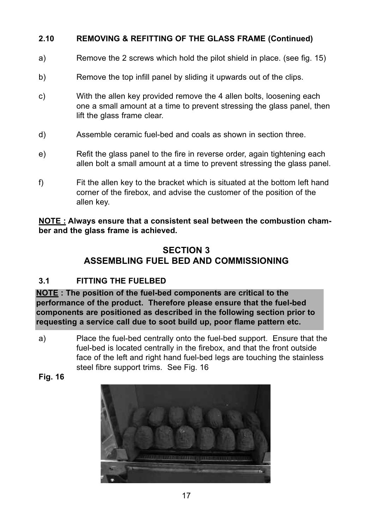#### **2.10 REMOVING & REFITTING OF THE GLASS FRAME (Continued)**

- a) Remove the 2 screws which hold the pilot shield in place. (see fig. 15)
- b) Remove the top infill panel by sliding it upwards out of the clips.
- c) With the allen key provided remove the 4 allen bolts, loosening each one a small amount at a time to prevent stressing the glass panel, then lift the glass frame clear.
- d) Assemble ceramic fuel-bed and coals as shown in section three.
- e) Refit the glass panel to the fire in reverse order, again tightening each allen bolt a small amount at a time to prevent stressing the glass panel.
- f) Fit the allen key to the bracket which is situated at the bottom left hand corner of the firebox, and advise the customer of the position of the allen key.

**NOTE : Always ensure that a consistent seal between the combustion chamber and the glass frame is achieved.**

# **SECTION 3 ASSEMBLING FUEL BED AND COMMISSIONING**

#### **3.1 FITTING THE FUELBED**

**NOTE : The position of the fuel-bed components are critical to the performance of the product. Therefore please ensure that the fuel-bed components are positioned as described in the following section prior to requesting a service call due to soot build up, poor flame pattern etc.**

- a) Place the fuel-bed centrally onto the fuel-bed support. Ensure that the fuel-bed is located centrally in the firebox, and that the front outside face of the left and right hand fuel-bed legs are touching the stainless steel fibre support trims. See Fig. 16
- **Fig. 16**

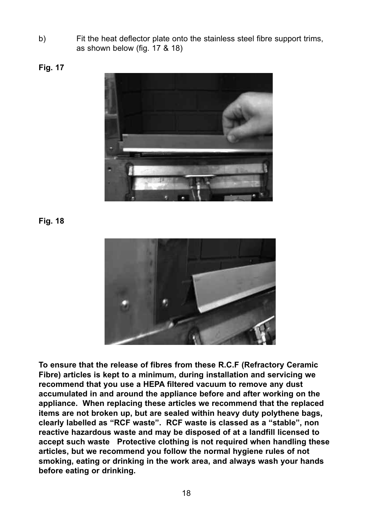b) Fit the heat deflector plate onto the stainless steel fibre support trims, as shown below (fig. 17 & 18)

**Fig. 17**



**Fig. 18**



**To ensure that the release of fibres from these R.C.F (Refractory Ceramic Fibre) articles is kept to a minimum, during installation and servicing we recommend that you use a HEPA filtered vacuum to remove any dust accumulated in and around the appliance before and after working on the appliance. When replacing these articles we recommend that the replaced items are not broken up, but are sealed within heavy duty polythene bags, clearly labelled as "RCF waste". RCF waste is classed as a "stable", non reactive hazardous waste and may be disposed of at a landfill licensed to accept such waste Protective clothing is not required when handling these articles, but we recommend you follow the normal hygiene rules of not smoking, eating or drinking in the work area, and always wash your hands before eating or drinking.**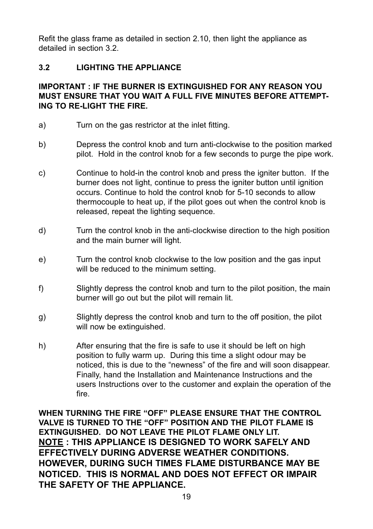Refit the glass frame as detailed in section 2.10, then light the appliance as detailed in section 3.2.

#### **3.2 LIGHTING THE APPLIANCE**

#### **IMPORTANT : IF THE BURNER IS EXTINGUISHED FOR ANY REASON YOU MUST ENSURE THAT YOU WAIT A FULL FIVE MINUTES BEFORE ATTEMPT-ING TO RE-LIGHT THE FIRE.**

- a) Turn on the gas restrictor at the inlet fitting.
- b) Depress the control knob and turn anti-clockwise to the position marked pilot. Hold in the control knob for a few seconds to purge the pipe work.
- c) Continue to hold-in the control knob and press the igniter button. If the burner does not light, continue to press the igniter button until ignition occurs. Continue to hold the control knob for 5-10 seconds to allow thermocouple to heat up, if the pilot goes out when the control knob is released, repeat the lighting sequence.
- d) Turn the control knob in the anti-clockwise direction to the high position and the main burner will light.
- e) Turn the control knob clockwise to the low position and the gas input will be reduced to the minimum setting.
- f) Slightly depress the control knob and turn to the pilot position, the main burner will go out but the pilot will remain lit.
- g) Slightly depress the control knob and turn to the off position, the pilot will now be extinguished.
- h) After ensuring that the fire is safe to use it should be left on high position to fully warm up. During this time a slight odour may be noticed, this is due to the "newness" of the fire and will soon disappear. Finally, hand the Installation and Maintenance Instructions and the users Instructions over to the customer and explain the operation of the fire.

**WHEN TURNING THE FIRE "OFF" PLEASE ENSURE THAT THE CONTROL VALVE IS TURNED TO THE "OFF" POSITION AND THE PILOT FLAME IS EXTINGUISHED. DO NOT LEAVE THE PILOT FLAME ONLY LIT. NOTE : THIS APPLIANCE IS DESIGNED TO WORK SAFELY AND EFFECTIVELY DURING ADVERSE WEATHER CONDITIONS. HOWEVER, DURING SUCH TIMES FLAME DISTURBANCE MAY BE NOTICED. THIS IS NORMAL AND DOES NOT EFFECT OR IMPAIR THE SAFETY OF THE APPLIANCE.**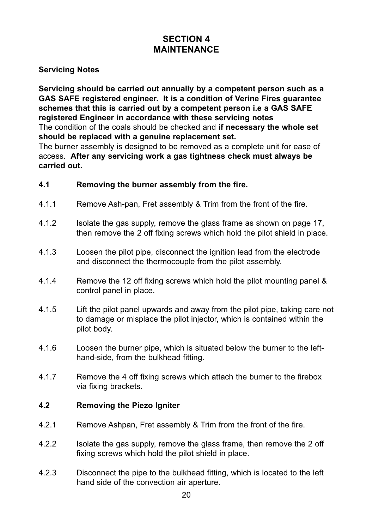# **SECTION 4 MAINTENANCE**

#### **Servicing Notes**

**Servicing should be carried out annually by a competent person such as a GAS SAFE registered engineer. It is a condition of Verine Fires guarantee schemes that this is carried out by a competent person i.e a GAS SAFE registered Engineer in accordance with these servicing notes** The condition of the coals should be checked and **if necessary the whole set should be replaced with a genuine replacement set.**

The burner assembly is designed to be removed as a complete unit for ease of access. **After any servicing work a gas tightness check must always be carried out.**

#### **4.1 Removing the burner assembly from the fire.**

- 4.1.1 Remove Ash-pan, Fret assembly & Trim from the front of the fire.
- 4.1.2 Isolate the gas supply, remove the glass frame as shown on page 17, then remove the 2 off fixing screws which hold the pilot shield in place.
- 4.1.3 Loosen the pilot pipe, disconnect the ignition lead from the electrode and disconnect the thermocouple from the pilot assembly.
- 4.1.4 Remove the 12 off fixing screws which hold the pilot mounting panel & control panel in place.
- 4.1.5 Lift the pilot panel upwards and away from the pilot pipe, taking care not to damage or misplace the pilot injector, which is contained within the pilot body.
- 4.1.6 Loosen the burner pipe, which is situated below the burner to the lefthand-side, from the bulkhead fitting.
- 4.1.7 Remove the 4 off fixing screws which attach the burner to the firebox via fixing brackets.

#### **4.2 Removing the Piezo Igniter**

- 4.2.1 Remove Ashpan, Fret assembly & Trim from the front of the fire.
- 4.2.2 Isolate the gas supply, remove the glass frame, then remove the 2 off fixing screws which hold the pilot shield in place.
- 4.2.3 Disconnect the pipe to the bulkhead fitting, which is located to the left hand side of the convection air aperture.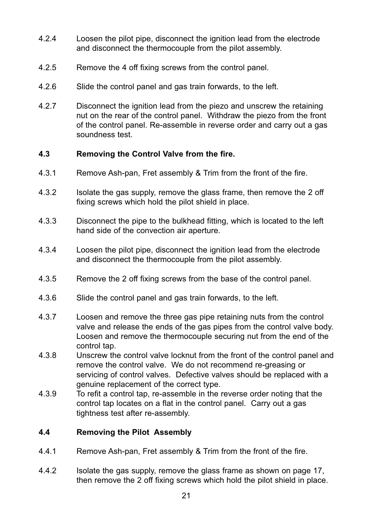- 4.2.4 Loosen the pilot pipe, disconnect the ignition lead from the electrode and disconnect the thermocouple from the pilot assembly.
- 4.2.5 Remove the 4 off fixing screws from the control panel.
- 4.2.6 Slide the control panel and gas train forwards, to the left.
- 4.2.7 Disconnect the ignition lead from the piezo and unscrew the retaining nut on the rear of the control panel. Withdraw the piezo from the front of the control panel. Re-assemble in reverse order and carry out a gas soundness test.

#### **4.3 Removing the Control Valve from the fire.**

- 4.3.1 Remove Ash-pan, Fret assembly & Trim from the front of the fire.
- 4.3.2 Isolate the gas supply, remove the glass frame, then remove the 2 off fixing screws which hold the pilot shield in place.
- 4.3.3 Disconnect the pipe to the bulkhead fitting, which is located to the left hand side of the convection air aperture.
- 4.3.4 Loosen the pilot pipe, disconnect the ignition lead from the electrode and disconnect the thermocouple from the pilot assembly.
- 4.3.5 Remove the 2 off fixing screws from the base of the control panel.
- 4.3.6 Slide the control panel and gas train forwards, to the left.
- 4.3.7 Loosen and remove the three gas pipe retaining nuts from the control valve and release the ends of the gas pipes from the control valve body. Loosen and remove the thermocouple securing nut from the end of the control tap.
- 4.3.8 Unscrew the control valve locknut from the front of the control panel and remove the control valve. We do not recommend re-greasing or servicing of control valves. Defective valves should be replaced with a genuine replacement of the correct type.
- 4.3.9 To refit a control tap, re-assemble in the reverse order noting that the control tap locates on a flat in the control panel. Carry out a gas tightness test after re-assembly.

#### **4.4 Removing the Pilot Assembly**

- 4.4.1 Remove Ash-pan, Fret assembly & Trim from the front of the fire.
- 4.4.2 Isolate the gas supply, remove the glass frame as shown on page 17, then remove the 2 off fixing screws which hold the pilot shield in place.